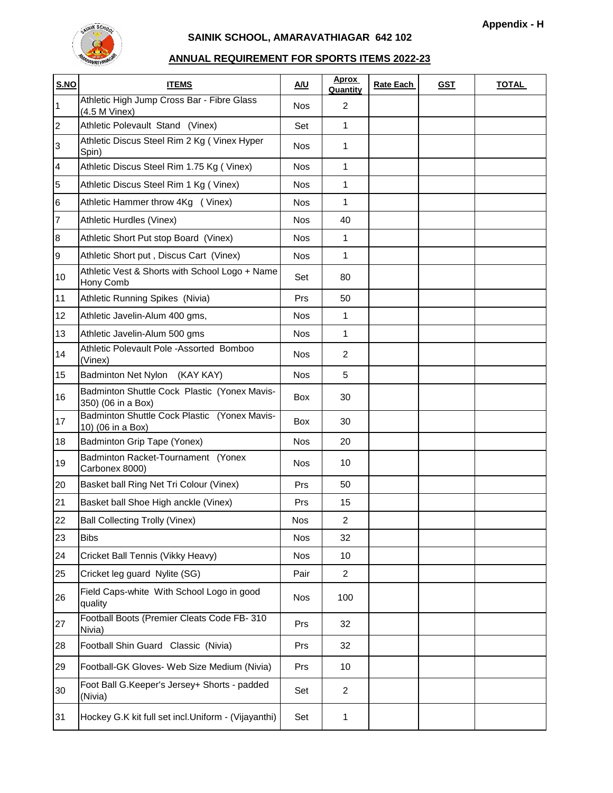

## **SAINIK SCHOOL, AMARAVATHIAGAR 642 102**

## **ANNUAL REQUIREMENT FOR SPORTS ITEMS 2022-23**

| S.NO             | <b>ITEMS</b>                                                       | A/U        | <b>Aprox</b><br>Quantity | <b>Rate Each</b> | <u>GST</u> | <b>TOTAL</b> |
|------------------|--------------------------------------------------------------------|------------|--------------------------|------------------|------------|--------------|
| 1                | Athletic High Jump Cross Bar - Fibre Glass<br>(4.5 M Vinex)        | <b>Nos</b> | 2                        |                  |            |              |
| $\overline{2}$   | Athletic Polevault Stand (Vinex)                                   | Set        | 1                        |                  |            |              |
| 3                | Athletic Discus Steel Rim 2 Kg (Vinex Hyper<br>Spin)               | Nos        | 1                        |                  |            |              |
| $\overline{4}$   | Athletic Discus Steel Rim 1.75 Kg (Vinex)                          | <b>Nos</b> | 1                        |                  |            |              |
| 5                | Athletic Discus Steel Rim 1 Kg (Vinex)                             | <b>Nos</b> | 1                        |                  |            |              |
| $6\phantom{.}6$  | Athletic Hammer throw 4Kg (Vinex)                                  | <b>Nos</b> | 1                        |                  |            |              |
| $\overline{7}$   | Athletic Hurdles (Vinex)                                           | <b>Nos</b> | 40                       |                  |            |              |
| $\boldsymbol{8}$ | Athletic Short Put stop Board (Vinex)                              | <b>Nos</b> | 1                        |                  |            |              |
| 9                | Athletic Short put, Discus Cart (Vinex)                            | <b>Nos</b> | 1                        |                  |            |              |
| 10               | Athletic Vest & Shorts with School Logo + Name<br>Hony Comb        | Set        | 80                       |                  |            |              |
| 11               | Athletic Running Spikes (Nivia)                                    | Prs        | 50                       |                  |            |              |
| 12               | Athletic Javelin-Alum 400 gms,                                     | Nos        | 1                        |                  |            |              |
| 13               | Athletic Javelin-Alum 500 gms                                      | <b>Nos</b> | 1                        |                  |            |              |
| 14               | Athletic Polevault Pole -Assorted Bomboo<br>(Vinex)                | <b>Nos</b> | $\overline{c}$           |                  |            |              |
| 15               | Badminton Net Nylon (KAY KAY)                                      | <b>Nos</b> | 5                        |                  |            |              |
| 16               | Badminton Shuttle Cock Plastic (Yonex Mavis-<br>350) (06 in a Box) | Box        | 30                       |                  |            |              |
| 17               | Badminton Shuttle Cock Plastic (Yonex Mavis-<br>10) (06 in a Box)  | <b>Box</b> | 30                       |                  |            |              |
| 18               | <b>Badminton Grip Tape (Yonex)</b>                                 | <b>Nos</b> | 20                       |                  |            |              |
| 19               | Badminton Racket-Tournament (Yonex<br>Carbonex 8000)               | <b>Nos</b> | 10                       |                  |            |              |
| 20               | Basket ball Ring Net Tri Colour (Vinex)                            | Prs        | 50                       |                  |            |              |
| 21               | Basket ball Shoe High anckle (Vinex)                               | Prs        | 15                       |                  |            |              |
| 22               | <b>Ball Collecting Trolly (Vinex)</b>                              | Nos        | 2                        |                  |            |              |
| 23               | <b>Bibs</b>                                                        | <b>Nos</b> | 32                       |                  |            |              |
| 24               | Cricket Ball Tennis (Vikky Heavy)                                  | <b>Nos</b> | 10                       |                  |            |              |
| 25               | Cricket leg guard Nylite (SG)                                      | Pair       | $\overline{2}$           |                  |            |              |
| 26               | Field Caps-white With School Logo in good<br>quality               | <b>Nos</b> | 100                      |                  |            |              |
| 27               | Football Boots (Premier Cleats Code FB- 310<br>Nivia)              | Prs        | 32                       |                  |            |              |
| 28               | Football Shin Guard Classic (Nivia)                                | Prs        | 32                       |                  |            |              |
| 29               | Football-GK Gloves- Web Size Medium (Nivia)                        | Prs        | 10                       |                  |            |              |
| 30               | Foot Ball G.Keeper's Jersey+ Shorts - padded<br>(Nivia)            | Set        | $\overline{2}$           |                  |            |              |
| 31               | Hockey G.K kit full set incl.Uniform - (Vijayanthi)                | Set        | 1                        |                  |            |              |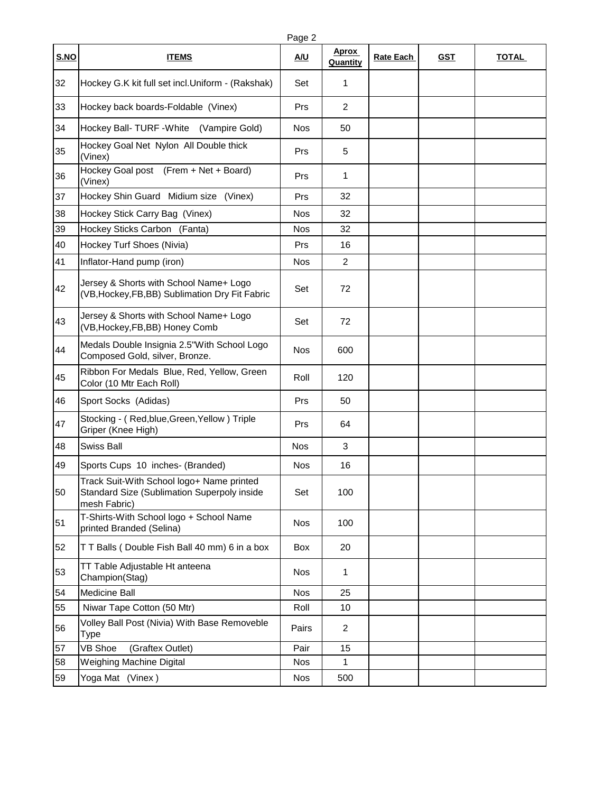|             |                                                                                                          | Page 2     |                   |                  |            |              |
|-------------|----------------------------------------------------------------------------------------------------------|------------|-------------------|------------------|------------|--------------|
| <b>S.NO</b> | <b>ITEMS</b>                                                                                             | <u>A/U</u> | Aprox<br>Quantity | <b>Rate Each</b> | <u>GST</u> | <b>TOTAL</b> |
| 32          | Hockey G.K kit full set incl.Uniform - (Rakshak)                                                         | Set        | 1                 |                  |            |              |
| 33          | Hockey back boards-Foldable (Vinex)                                                                      | Prs        | $\overline{c}$    |                  |            |              |
| 34          | Hockey Ball- TURF - White (Vampire Gold)                                                                 | Nos        | 50                |                  |            |              |
| 35          | Hockey Goal Net Nylon All Double thick<br>(Vinex)                                                        | Prs        | 5                 |                  |            |              |
| 36          | Hockey Goal post (Frem + Net + Board)<br>(Vinex)                                                         | Prs        | 1                 |                  |            |              |
| 37          | Hockey Shin Guard Midium size (Vinex)                                                                    | Prs        | 32                |                  |            |              |
| 38          | Hockey Stick Carry Bag (Vinex)                                                                           | <b>Nos</b> | 32                |                  |            |              |
| 39          | Hockey Sticks Carbon (Fanta)                                                                             | <b>Nos</b> | 32                |                  |            |              |
| 40          | Hockey Turf Shoes (Nivia)                                                                                | Prs        | 16                |                  |            |              |
| 41          | Inflator-Hand pump (iron)                                                                                | <b>Nos</b> | $\overline{2}$    |                  |            |              |
| 42          | Jersey & Shorts with School Name+ Logo<br>(VB, Hockey, FB, BB) Sublimation Dry Fit Fabric                | Set        | 72                |                  |            |              |
| 43          | Jersey & Shorts with School Name+ Logo<br>(VB, Hockey, FB, BB) Honey Comb                                | Set        | 72                |                  |            |              |
| 44          | Medals Double Insignia 2.5"With School Logo<br>Composed Gold, silver, Bronze.                            | Nos        | 600               |                  |            |              |
| 45          | Ribbon For Medals Blue, Red, Yellow, Green<br>Color (10 Mtr Each Roll)                                   | Roll       | 120               |                  |            |              |
| 46          | Sport Socks (Adidas)                                                                                     | Prs        | 50                |                  |            |              |
| 47          | Stocking - (Red, blue, Green, Yellow) Triple<br>Griper (Knee High)                                       | Prs        | 64                |                  |            |              |
| 48          | <b>Swiss Ball</b>                                                                                        | <b>Nos</b> | $\mathbf 3$       |                  |            |              |
| 49          | Sports Cups 10 inches- (Branded)                                                                         | <b>Nos</b> | 16                |                  |            |              |
| 50          | Track Suit-With School logo+ Name printed<br>Standard Size (Sublimation Superpoly inside<br>mesh Fabric) | Set        | 100               |                  |            |              |
| 51          | T-Shirts-With School logo + School Name<br>printed Branded (Selina)                                      | <b>Nos</b> | 100               |                  |            |              |
| 52          | TT Balls (Double Fish Ball 40 mm) 6 in a box                                                             | Box        | 20                |                  |            |              |
| 53          | TT Table Adjustable Ht anteena<br>Champion(Stag)                                                         | <b>Nos</b> | 1                 |                  |            |              |
| 54          | Medicine Ball                                                                                            | <b>Nos</b> | 25                |                  |            |              |
| 55          | Niwar Tape Cotton (50 Mtr)                                                                               | Roll       | 10                |                  |            |              |
| 56          | Volley Ball Post (Nivia) With Base Removeble<br>Type                                                     | Pairs      | 2                 |                  |            |              |
| 57          | <b>VB Shoe</b><br>(Graftex Outlet)                                                                       | Pair       | 15                |                  |            |              |
| 58          | Weighing Machine Digital                                                                                 | Nos        | 1                 |                  |            |              |
| 59          | Yoga Mat (Vinex)                                                                                         | Nos        | 500               |                  |            |              |